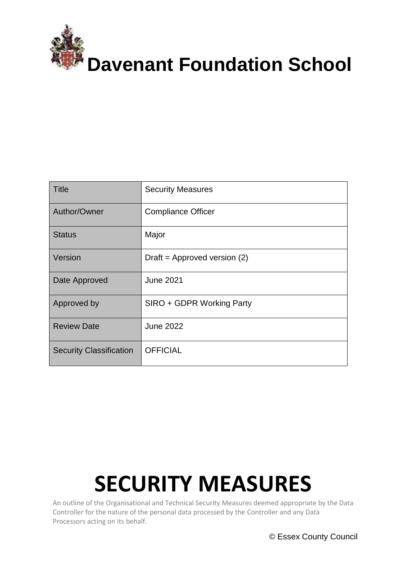

| Title                          | <b>Security Measures</b>       |
|--------------------------------|--------------------------------|
| Author/Owner                   | <b>Compliance Officer</b>      |
| <b>Status</b>                  | Major                          |
| Version                        | Draft = Approved version $(2)$ |
| Date Approved                  | <b>June 2021</b>               |
| Approved by                    | SIRO + GDPR Working Party      |
| <b>Review Date</b>             | <b>June 2022</b>               |
| <b>Security Classification</b> | <b>OFFICIAL</b>                |

# **SECURITY MEASURES**

An outline of the Organisational and Technical Security Measures deemed appropriate by the Data Controller for the nature of the personal data processed by the Controller and any Data Processors acting on its behalf.

© Essex County Council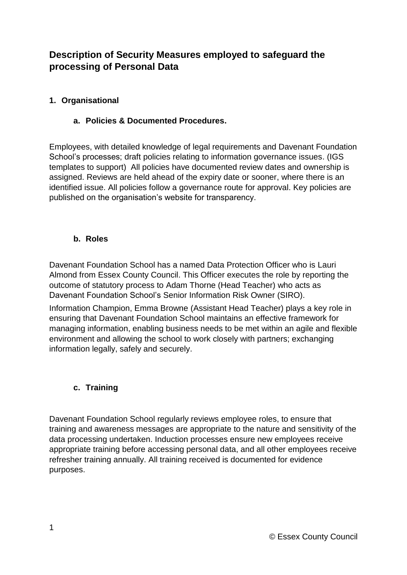# **Description of Security Measures employed to safeguard the processing of Personal Data**

# **1. Organisational**

### **a. Policies & Documented Procedures.**

Employees, with detailed knowledge of legal requirements and Davenant Foundation School's processes; draft policies relating to information governance issues. (IGS templates to support) All policies have documented review dates and ownership is assigned. Reviews are held ahead of the expiry date or sooner, where there is an identified issue. All policies follow a governance route for approval. Key policies are published on the organisation's website for transparency.

#### **b. Roles**

Davenant Foundation School has a named Data Protection Officer who is Lauri Almond from Essex County Council. This Officer executes the role by reporting the outcome of statutory process to Adam Thorne (Head Teacher) who acts as Davenant Foundation School's Senior Information Risk Owner (SIRO).

Information Champion, Emma Browne (Assistant Head Teacher) plays a key role in ensuring that Davenant Foundation School maintains an effective framework for managing information, enabling business needs to be met within an agile and flexible environment and allowing the school to work closely with partners; exchanging information legally, safely and securely.

#### **c. Training**

Davenant Foundation School regularly reviews employee roles, to ensure that training and awareness messages are appropriate to the nature and sensitivity of the data processing undertaken. Induction processes ensure new employees receive appropriate training before accessing personal data, and all other employees receive refresher training annually. All training received is documented for evidence purposes.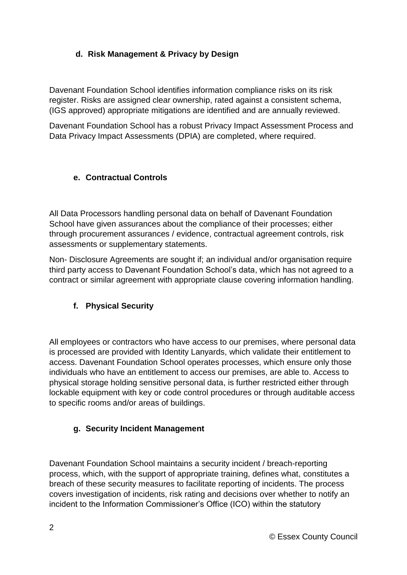# **d. Risk Management & Privacy by Design**

Davenant Foundation School identifies information compliance risks on its risk register. Risks are assigned clear ownership, rated against a consistent schema, (IGS approved) appropriate mitigations are identified and are annually reviewed.

Davenant Foundation School has a robust Privacy Impact Assessment Process and Data Privacy Impact Assessments (DPIA) are completed, where required.

# **e. Contractual Controls**

All Data Processors handling personal data on behalf of Davenant Foundation School have given assurances about the compliance of their processes; either through procurement assurances / evidence, contractual agreement controls, risk assessments or supplementary statements.

Non- Disclosure Agreements are sought if; an individual and/or organisation require third party access to Davenant Foundation School's data, which has not agreed to a contract or similar agreement with appropriate clause covering information handling.

# **f. Physical Security**

All employees or contractors who have access to our premises, where personal data is processed are provided with Identity Lanyards, which validate their entitlement to access. Davenant Foundation School operates processes, which ensure only those individuals who have an entitlement to access our premises, are able to. Access to physical storage holding sensitive personal data, is further restricted either through lockable equipment with key or code control procedures or through auditable access to specific rooms and/or areas of buildings.

#### **g. Security Incident Management**

Davenant Foundation School maintains a security incident / breach-reporting process, which, with the support of appropriate training, defines what, constitutes a breach of these security measures to facilitate reporting of incidents. The process covers investigation of incidents, risk rating and decisions over whether to notify an incident to the Information Commissioner's Office (ICO) within the statutory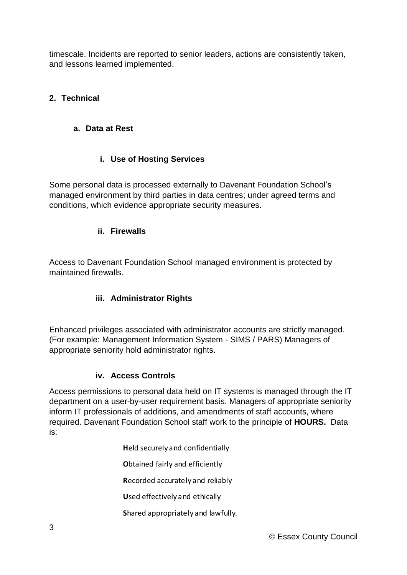timescale. Incidents are reported to senior leaders, actions are consistently taken, and lessons learned implemented.

# **2. Technical**

### **a. Data at Rest**

# **i. Use of Hosting Services**

Some personal data is processed externally to Davenant Foundation School's managed environment by third parties in data centres; under agreed terms and conditions, which evidence appropriate security measures.

#### **ii. Firewalls**

Access to Davenant Foundation School managed environment is protected by maintained firewalls.

#### **iii. Administrator Rights**

Enhanced privileges associated with administrator accounts are strictly managed. (For example: Management Information System - SIMS / PARS) Managers of appropriate seniority hold administrator rights.

#### **iv. Access Controls**

Access permissions to personal data held on IT systems is managed through the IT department on a user-by-user requirement basis. Managers of appropriate seniority inform IT professionals of additions, and amendments of staff accounts, where required. Davenant Foundation School staff work to the principle of **HOURS.** Data is:

**H**eld securely and confidentially

**O**btained fairly and efficiently

**R**ecorded accurately and reliably

**U**sed effectively and ethically

**S**hared appropriately and lawfully.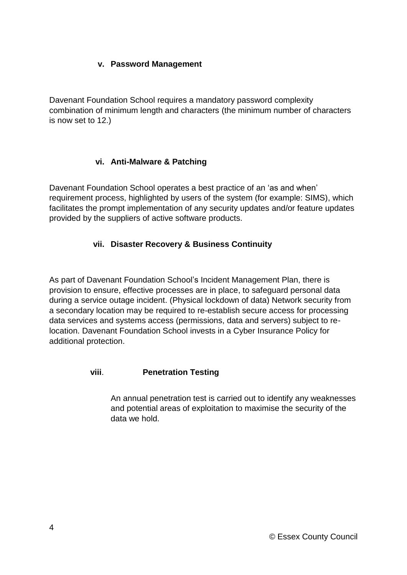#### **v. Password Management**

Davenant Foundation School requires a mandatory password complexity combination of minimum length and characters (the minimum number of characters is now set to 12.)

# **vi. Anti-Malware & Patching**

Davenant Foundation School operates a best practice of an 'as and when' requirement process, highlighted by users of the system (for example: SIMS), which facilitates the prompt implementation of any security updates and/or feature updates provided by the suppliers of active software products.

# **vii. Disaster Recovery & Business Continuity**

As part of Davenant Foundation School's Incident Management Plan, there is provision to ensure, effective processes are in place, to safeguard personal data during a service outage incident. (Physical lockdown of data) Network security from a secondary location may be required to re-establish secure access for processing data services and systems access (permissions, data and servers) subject to relocation. Davenant Foundation School invests in a Cyber Insurance Policy for additional protection.

#### **viii**. **Penetration Testing**

An annual penetration test is carried out to identify any weaknesses and potential areas of exploitation to maximise the security of the data we hold.